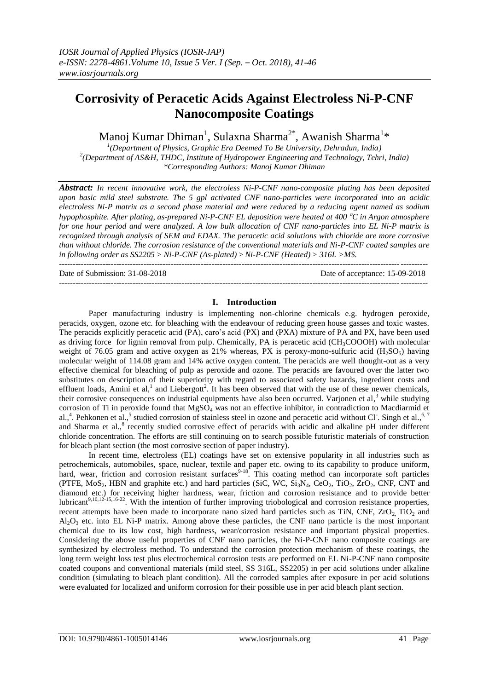# **Corrosivity of Peracetic Acids Against Electroless Ni-P-CNF Nanocomposite Coatings**

Manoj Kumar Dhiman<sup>1</sup>, Sulaxna Sharma<sup>2\*</sup>, Awanish Sharma<sup>1</sup>\*

*1 (Department of Physics, Graphic Era Deemed To Be University, Dehradun, India) 2 (Department of AS&H, THDC, Institute of Hydropower Engineering and Technology, Tehri, India) \*Corresponding Authors: Manoj Kumar Dhiman*

*Abstract: In recent innovative work, the electroless Ni-P-CNF nano-composite plating has been deposited upon basic mild steel substrate. The 5 gpl activated CNF nano-particles were incorporated into an acidic electroless Ni-P matrix as a second phase material and were reduced by a reducing agent named as sodium hypophosphite. After plating, as-prepared Ni-P-CNF EL deposition were heated at 400 C in Argon atmosphere for one hour period and were analyzed. A low bulk allocation of CNF nano-particles into EL Ni-P matrix is recognized through analysis of SEM and EDAX. The peracetic acid solutions with chloride are more corrosive than without chloride. The corrosion resistance of the conventional materials and Ni-P-CNF coated samples are in following order as SS2205 > Ni-P-CNF (As-plated)>Ni-P-CNF (Heated)> 316L >MS.*  ---------------------------------------------------------------------------------------------------------------------------------------

Date of Submission: 31-08-2018 Date of acceptance: 15-09-2018

## **I. Introduction**

---------------------------------------------------------------------------------------------------------------------------------------

Paper manufacturing industry is implementing non-chlorine chemicals e.g. hydrogen peroxide, peracids, oxygen, ozone etc. for bleaching with the endeavour of reducing green house gasses and toxic wastes. The peracids explicitly peracetic acid (PA), caro's acid (PX) and (PXA) mixture of PA and PX, have been used as driving force for lignin removal from pulp. Chemically, PA is peracetic acid (CH<sub>3</sub>COOOH) with molecular weight of 76.05 gram and active oxygen as 21% whereas, PX is peroxy-mono-sulfuric acid  $(H_2SO_5)$  having molecular weight of 114.08 gram and 14% active oxygen content. The peracids are well thought-out as a very effective chemical for bleaching of pulp as peroxide and ozone. The peracids are favoured over the latter two substitutes on description of their superiority with regard to associated safety hazards, ingredient costs and effluent loads, Amini et al,<sup>1</sup> and Liebergott<sup>2</sup>. It has been observed that with the use of these newer chemicals, their corrosive consequences on industrial equipments have also been occurred. Varjonen et al,<sup>3</sup> while studying corrosion of Ti in peroxide found that MgSO<sub>4</sub> was not an effective inhibitor, in contradiction to Macdiarmid et al.,<sup>4</sup>. Pehkonen et al.,<sup>5</sup> studied corrosion of stainless steel in ozone and peracetic acid without Cl<sup>-</sup>. Singh et al.,<sup>6,7</sup> and Sharma et al.,<sup>8</sup> recently studied corrosive effect of peracids with acidic and alkaline pH under different chloride concentration. The efforts are still continuing on to search possible futuristic materials of construction for bleach plant section (the most corrosive section of paper industry).

In recent time, electroless (EL) coatings have set on extensive popularity in all industries such as petrochemicals, automobiles, space, nuclear, textile and paper etc. owing to its capability to produce uniform, hard, wear, friction and corrosion resistant surfaces<sup>9-18</sup>. This coating method can incorporate soft particles (PTFE,  $MoS_2$ , HBN and graphite etc.) and hard particles (SiC, WC,  $Si<sub>3</sub>N<sub>4</sub>$ , CeO<sub>2</sub>, TiO<sub>2</sub>, ZrO<sub>2</sub>, CNF, CNT and diamond etc.) for receiving higher hardness, wear, friction and corrosion resistance and to provide better lubricant<sup>9,10,12-15,16-22</sup>. With the intention of further improving triobological and corrosion resistance properties, recent attempts have been made to incorporate nano sized hard particles such as TiN, CNF,  $ZrO<sub>2</sub>$  TiO<sub>2</sub> and  $Al_2O_3$  etc. into EL Ni-P matrix. Among above these particles, the CNF nano particle is the most important chemical due to its low cost, high hardness, wear/corrosion resistance and important physical properties. Considering the above useful properties of CNF nano particles, the Ni-P-CNF nano composite coatings are synthesized by electroless method. To understand the corrosion protection mechanism of these coatings, the long term weight loss test plus electrochemical corrosion tests are performed on EL Ni-P-CNF nano composite coated coupons and conventional materials (mild steel, SS 316L, SS2205) in per acid solutions under alkaline condition (simulating to bleach plant condition). All the corroded samples after exposure in per acid solutions were evaluated for localized and uniform corrosion for their possible use in per acid bleach plant section.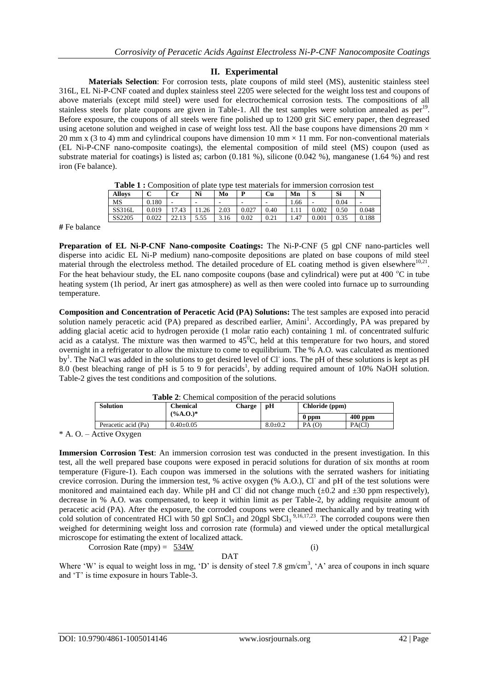# **II. Experimental**

**Materials Selection**: For corrosion tests, plate coupons of mild steel (MS), austenitic stainless steel 316L, EL Ni-P-CNF coated and duplex stainless steel 2205 were selected for the weight loss test and coupons of above materials (except mild steel) were used for electrochemical corrosion tests. The compositions of all stainless steels for plate coupons are given in Table-1. All the test samples were solution annealed as per<sup>19</sup>. Before exposure, the coupons of all steels were fine polished up to 1200 grit SiC emery paper, then degreased using acetone solution and weighed in case of weight loss test. All the base coupons have dimensions 20 mm  $\times$ 20 mm x (3 to 4) mm and cylindrical coupons have dimension 10 mm  $\times$  11 mm. For non-conventional materials (EL Ni-P-CNF nano-composite coatings), the elemental composition of mild steel (MS) coupon (used as substrate material for coatings) is listed as; carbon (0.181 %), silicone (0.042 %), manganese (1.64 %) and rest iron (Fe balance).

| <b>Table 1:</b> Composition of plate type test materials for immersion corrosion test |  |  |                                                                               |  |                                           |  |
|---------------------------------------------------------------------------------------|--|--|-------------------------------------------------------------------------------|--|-------------------------------------------|--|
| $\triangle$ llava $\triangle$                                                         |  |  | $C_{\rm m}$ N: $M_{\rm c}$ D $C_{\rm m}$ M <sub>p</sub> $\mathcal{C}_{\rm R}$ |  | $\mathbb{C}: \mathbb{R}^n \to \mathbb{N}$ |  |

| <b>Allovs</b> | ∽<br>◡ | Сr                                | Ni   | Mo   | D     | Cu   | Mn     | $\mathbf{C}$<br>P | Si   | N     |
|---------------|--------|-----------------------------------|------|------|-------|------|--------|-------------------|------|-------|
| MS            | 0.180  | -                                 | -    | -    | -     | -    | . . 66 | -                 | 0.04 | -     |
| SS316L        | 0.019  | $\overline{ }$<br>$^{\prime}$ .43 | .26  | 2.03 | 0.027 | 0.40 | .      | 0.002             | 0.50 | 0.048 |
| SS2205        | 0.022  | 1 <sub>2</sub><br>ل 1 . 4 .       | 5.55 | 3.16 | 0.02  | 0.21 | 1.47   | $\rm 0.001$       | 0.35 | 0.188 |
|               |        |                                   |      |      |       |      |        |                   |      |       |

**#** Fe balance

**Preparation of EL Ni-P-CNF Nano-composite Coatings:** The Ni-P-CNF (5 gpl CNF nano-particles well disperse into acidic EL Ni-P medium) nano-composite depositions are plated on base coupons of mild steel material through the electroless method. The detailed procedure of EL coating method is given elsewhere $10,21$ . For the heat behaviour study, the EL nano composite coupons (base and cylindrical) were put at 400  $^{\circ}$ C in tube heating system (1h period, Ar inert gas atmosphere) as well as then were cooled into furnace up to surrounding temperature.

**Composition and Concentration of Peracetic Acid (PA) Solutions:** The test samples are exposed into peracid solution namely peracetic acid (PA) prepared as described earlier, Amini<sup>1</sup>. Accordingly, PA was prepared by adding glacial acetic acid to hydrogen peroxide (1 molar ratio each) containing 1 ml. of concentrated sulfuric acid as a catalyst. The mixture was then warmed to  $45^{\circ}$ C, held at this temperature for two hours, and stored overnight in a refrigerator to allow the mixture to come to equilibrium. The % A.O. was calculated as mentioned by<sup>1</sup>. The NaCl was added in the solutions to get desired level of Cl ions. The pH of these solutions is kept as pH 8.0 (best bleaching range of pH is 5 to 9 for peracids<sup>1</sup>, by adding required amount of 10% NaOH solution. Table-2 gives the test conditions and composition of the solutions.

| <b>Table 2:</b> Chemical composition of the peracid solutions |                 |        |             |                |           |  |  |
|---------------------------------------------------------------|-----------------|--------|-------------|----------------|-----------|--|--|
| <b>Solution</b>                                               | <b>Chemical</b> | Charge | рH          | Chloride (ppm) |           |  |  |
|                                                               | $(\%A.0^*)$     |        |             | 0 ppm          | $400$ ppm |  |  |
| Peracetic acid (Pa)                                           | $0.40 \pm 0.05$ |        | $8.0 + 0.2$ | PA(0)          | PA(CI)    |  |  |
|                                                               |                 |        |             |                |           |  |  |

**Table 2**: Chemical composition of the peracid solutions

\* A. O. – Active Oxygen

**Immersion Corrosion Test**: An immersion corrosion test was conducted in the present investigation. In this test, all the well prepared base coupons were exposed in peracid solutions for duration of six months at room temperature (Figure-1). Each coupon was immersed in the solutions with the serrated washers for initiating crevice corrosion. During the immersion test, % active oxygen (% A.O.), Cl and pH of the test solutions were monitored and maintained each day. While pH and Cl did not change much  $(\pm 0.2 \text{ and } \pm 30 \text{ ppm respectively})$ , decrease in % A.O. was compensated, to keep it within limit as per Table-2, by adding requisite amount of peracetic acid (PA). After the exposure, the corroded coupons were cleaned mechanically and by treating with cold solution of concentrated HCl with 50 gpl SnCl<sub>2</sub> and 20gpl SbCl<sub>3</sub><sup>9,16,17,23</sup>. The corroded coupons were then weighed for determining weight loss and corrosion rate (formula) and viewed under the optical metallurgical microscope for estimating the extent of localized attack.

Corrosion Rate (mpy) =  $534W$  (i) DAT

Where 'W' is equal to weight loss in mg, 'D' is density of steel 7.8  $gm/cm<sup>3</sup>$ , 'A' area of coupons in inch square and "T" is time exposure in hours Table-3.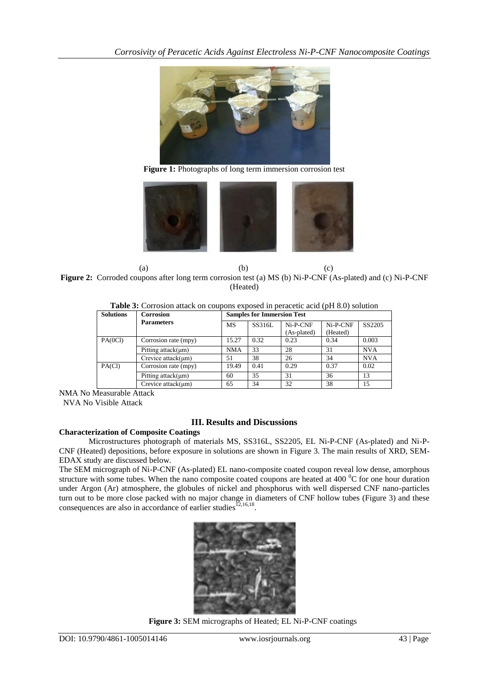

Figure 1: Photographs of long term immersion corrosion test



(a)  $(b)$  (c) **Figure 2:** Corroded coupons after long term corrosion test (a) MS (b) Ni-P-CNF (As-plated) and (c) Ni-P-CNF (Heated)

| <b>Solutions</b> | <b>Corrosion</b>     | <b>Samples for Immersion Test</b> |        |             |            |            |  |  |
|------------------|----------------------|-----------------------------------|--------|-------------|------------|------------|--|--|
|                  | <b>Parameters</b>    | <b>MS</b>                         | SS316L | Ni-P-CNF    | $Ni-P-CNF$ | SS2205     |  |  |
|                  |                      |                                   |        | (As-plated) | (Heated)   |            |  |  |
| PA(0Cl)          | Corrosion rate (mpy) | 15.27                             | 0.32   | 0.23        | 0.34       | 0.003      |  |  |
|                  | Pitting $attack(µm)$ | <b>NMA</b>                        | 33     | 28          | 31         | <b>NVA</b> |  |  |
|                  | Crevice $attack(µm)$ | 51                                | 38     | 26          | 34         | <b>NVA</b> |  |  |
| PA(Cl)           | Corrosion rate (mpy) | 19.49                             | 0.41   | 0.29        | 0.37       | 0.02       |  |  |
|                  | Pitting $attack(µm)$ | 60                                | 35     | 31          | 36         | 13         |  |  |
|                  | Crevice $attack(µm)$ | 65                                | 34     | 32          | 38         | 15         |  |  |

NMA No Measurable Attack

NVA No Visible Attack

# **III. Results and Discussions**

## **Characterization of Composite Coatings**

Microstructures photograph of materials MS, SS316L, SS2205, EL Ni-P-CNF (As-plated) and Ni-P-CNF (Heated) depositions, before exposure in solutions are shown in Figure 3. The main results of XRD, SEM-EDAX study are discussed below.

The SEM micrograph of Ni-P-CNF (As-plated) EL nano-composite coated coupon reveal low dense, amorphous structure with some tubes. When the nano composite coated coupons are heated at 400 $\degree$ C for one hour duration under Argon (Ar) atmosphere, the globules of nickel and phosphorus with well dispersed CNF nano-particles turn out to be more close packed with no major change in diameters of CNF hollow tubes (Figure 3) and these consequences are also in accordance of earlier studies  $^{[2,16,18]}$ .



**Figure 3:** SEM micrographs of Heated; EL Ni-P-CNF coatings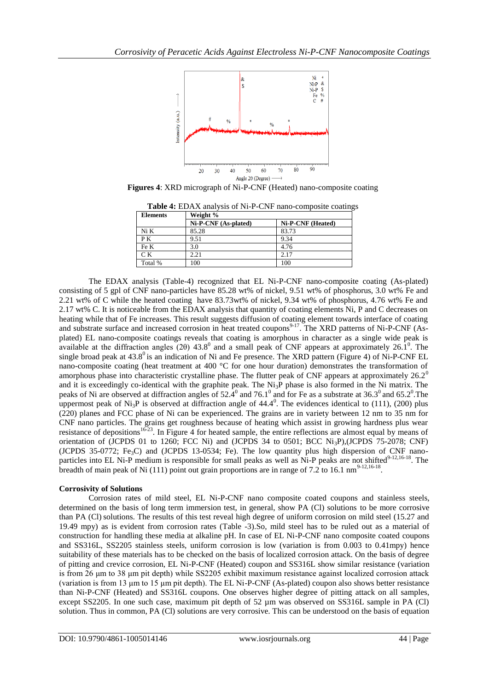

**Figures 4**: XRD micrograph of Ni-P-CNF (Heated) nano-composite coating

| <b>Elements</b> | Weight %             |                   |  |  |  |  |
|-----------------|----------------------|-------------------|--|--|--|--|
|                 | Ni-P-CNF (As-plated) | Ni-P-CNF (Heated) |  |  |  |  |
| Ni K            | 85.28                | 83.73             |  |  |  |  |
| PK              | 9.51                 | 9.34              |  |  |  |  |
| Fe K            | 3.0                  | 4.76              |  |  |  |  |
| C <sub>K</sub>  | 2.21                 | 2.17              |  |  |  |  |
| Total %         | 100                  | 100               |  |  |  |  |

**Table 4:** EDAX analysis of Ni-P-CNF nano-composite coatings

The EDAX analysis (Table-4) recognized that EL Ni-P-CNF nano-composite coating (As-plated) consisting of 5 gpl of CNF nano-particles have 85.28 wt% of nickel, 9.51 wt% of phosphorus, 3.0 wt% Fe and 2.21 wt% of C while the heated coating have 83.73wt% of nickel, 9.34 wt% of phosphorus, 4.76 wt% Fe and 2.17 wt% C. It is noticeable from the EDAX analysis that quantity of coating elements Ni, P and C decreases on heating while that of Fe increases. This result suggests diffusion of coating element towards interface of coating and substrate surface and increased corrosion in heat treated coupons<sup>9-17</sup>. The XRD patterns of Ni-P-CNF (Asplated) EL nano-composite coatings reveals that coating is amorphous in character as a single wide peak is available at the diffraction angles (20) 43.8<sup>0</sup> and a small peak of CNF appears at approximately 26.1<sup>0</sup>. The single broad peak at  $43.8^{\circ}$  is an indication of Ni and Fe presence. The XRD pattern (Figure 4) of Ni-P-CNF EL nano-composite coating (heat treatment at 400 °C for one hour duration) demonstrates the transformation of amorphous phase into characteristic crystalline phase. The flutter peak of CNF appears at approximately 26.2<sup>0</sup> and it is exceedingly co-identical with the graphite peak. The Ni<sub>3</sub>P phase is also formed in the Ni matrix. The peaks of Ni are observed at diffraction angles of  $52.\dot{4}^0$  and  $76.1^0$  and for Fe as a substrate at  $36.3^0$  and  $65.2^0$ . The uppermost peak of Ni<sub>3</sub>P is observed at diffraction angle of  $44.4^{\circ}$ . The evidences identical to (111), (200) plus (220) planes and FCC phase of Ni can be experienced. The grains are in variety between 12 nm to 35 nm for CNF nano particles. The grains get roughness because of heating which assist in growing hardness plus wear resistance of depositions<sup>16-23</sup>. In Figure 4 for heated sample, the entire reflections are almost equal by means of orientation of (JCPDS 01 to 1260; FCC Ni) and (JCPDS 34 to 0501; BCC Ni3P),(JCPDS 75-2078; CNF) (JCPDS 35-0772; Fe<sub>3</sub>C) and (JCPDS 13-0534; Fe). The low quantity plus high dispersion of CNF nanoparticles into EL Ni-P medium is responsible for small peaks as well as Ni-P peaks are not shifted $9-12,16-18$ . The breadth of main peak of Ni (111) point out grain proportions are in range of 7.2 to 16.1 nm<sup>9-12,16-18</sup>.

## **Corrosivity of Solutions**

Corrosion rates of mild steel, EL Ni-P-CNF nano composite coated coupons and stainless steels, determined on the basis of long term immersion test, in general, show PA (Cl) solutions to be more corrosive than PA (Cl) solutions. The results of this test reveal high degree of uniform corrosion on mild steel (15.27 and 19.49 mpy) as is evident from corrosion rates (Table -3).So, mild steel has to be ruled out as a material of construction for handling these media at alkaline pH. In case of EL Ni-P-CNF nano composite coated coupons and SS316L, SS2205 stainless steels, uniform corrosion is low (variation is from 0.003 to 0.41mpy) hence suitability of these materials has to be checked on the basis of localized corrosion attack. On the basis of degree of pitting and crevice corrosion, EL Ni-P-CNF (Heated) coupon and SS316L show similar resistance (variation is from 26 μm to 38 μm pit depth) while SS2205 exhibit maximum resistance against localized corrosion attack (variation is from 13 μm to 15 μm pit depth). The EL Ni-P-CNF (As-plated) coupon also shows better resistance than Ni-P-CNF (Heated) and SS316L coupons. One observes higher degree of pitting attack on all samples, except SS2205. In one such case, maximum pit depth of 52 µm was observed on SS316L sample in PA (Cl) solution. Thus in common, PA (Cl) solutions are very corrosive. This can be understood on the basis of equation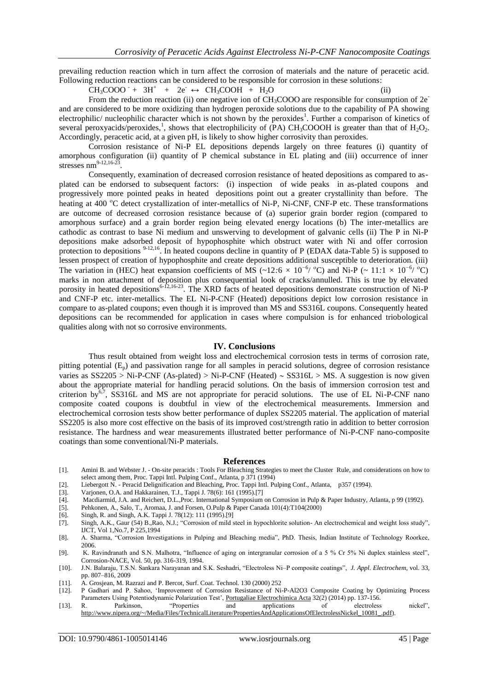prevailing reduction reaction which in turn affect the corrosion of materials and the nature of peracetic acid. Following reduction reactions can be considered to be responsible for corrosion in these solutions:

 $CH_3COOO^- + 3H^+ + 2e^- \leftrightarrow CH_3COOH + H_2O$  (ii)

From the reduction reaction (ii) one negative ion of  $CH<sub>3</sub>COOO$  are responsible for consumption of  $2e^$ and are considered to be more oxidizing than hydrogen peroxide solotions due to the capability of PA showing electrophilic/ nucleophilic character which is not shown by the peroxides<sup>1</sup>. Further a comparison of kinetics of several peroxyacids/peroxides,<sup>1</sup>, shows that electrophilicity of (PA) CH<sub>3</sub>COOOH is greater than that of H<sub>2</sub>O<sub>2</sub>. Accordingly, peracetic acid, at a given pH, is likely to show higher corrosivity than peroxides.

Corrosion resistance of Ni-P EL depositions depends largely on three features (i) quantity of amorphous configuration (ii) quantity of P chemical substance in EL plating and (iii) occurrence of inner stresses  $nm^{9-12,16-23}$ .

Consequently, examination of decreased corrosion resistance of heated depositions as compared to asplated can be endorsed to subsequent factors: (i) inspection of wide peaks in as-plated coupons and progressively more pointed peaks in heated depositions point out a greater crystallinity than before. The heating at 400 °C detect crystallization of inter-metallics of Ni-P, Ni-CNF, CNF-P etc. These transformations are outcome of decreased corrosion resistance because of (a) superior grain border region (compared to amorphous surface) and a grain border region being elevated energy locations (b) The inter-metallics are cathodic as contrast to base Ni medium and unswerving to development of galvanic cells (ii) The P in Ni-P depositions make adsorbed deposit of hypophosphite which obstruct water with Ni and offer corrosion protection to depositions <sup>9-12,16</sup>. In heated coupons decline in quantity of P (EDAX data-Table 5) is supposed to lessen prospect of creation of hypophosphite and create depositions additional susceptible to deterioration. (iii) The variation in (HEC) heat expansion coefficients of MS (~12*:*6  $\times$  10<sup>-6</sup>/<sup>o</sup>C) and Ni-P (~ 11*:*1  $\times$  10<sup>-6</sup>/<sup>o</sup>C) marks in non attachment of deposition plus consequential look of cracks/annulled. This is true by elevated porosity in heated depositions<sup>6-12,16-23</sup>. The XRD facts of heated depositions demonstrate construction of Ni-P and CNF-P etc. inter-metallics. The EL Ni-P-CNF (Heated) depositions depict low corrosion resistance in compare to as-plated coupons; even though it is improved than MS and SS316L coupons. Consequently heated depositions can be recommended for application in cases where compulsion is for enhanced triobological qualities along with not so corrosive environments.

#### **IV. Conclusions**

Thus result obtained from weight loss and electrochemical corrosion tests in terms of corrosion rate, pitting potential  $(E_p)$  and passivation range for all samples in peracid solutions, degree of corrosion resistance varies as  $SS2205 > Ni-P-CNF$  (As-plated) > Ni-P-CNF (Heated)  $\sim$  SS316L > MS. A suggestion is now given about the appropriate material for handling peracid solutions. On the basis of immersion corrosion test and criterion by<sup> $6,7$ </sup>, SS316L and MS are not appropriate for peracid solutions. The use of EL Ni-P-CNF nano composite coated coupons is doubtful in view of the electrochemical measurements. Immersion and electrochemical corrosion tests show better performance of duplex SS2205 material. The application of material SS2205 is also more cost effective on the basis of its improved cost/strength ratio in addition to better corrosion resistance. The hardness and wear measurements illustrated better performance of Ni-P-CNF nano-composite coatings than some conventional/Ni-P materials.

#### **References**

- [1]. Amini B. and Webster J. On-site peracids : Tools For Bleaching Strategies to meet the Cluster Rule, and considerations on how to select among them, Proc. Tappi Intl. Pulping Conf., Atlanta, p 371 (1994)
- [2]. Liebergott N. Peracid Delignification and Bleaching, Proc. Tappi Intl. Pulping Conf., Atlanta, p357 (1994).
- [3]. Varjonen, O.A. and Hakkarainen, T.J., Tappi J. 78(6): 161 (1995).[7]<br>[4]. Macdiarmid, J.A. and Reichert, D.L. Proc. International Symposium
- Macdiarmid, J.A. and Reichert, D.L.,Proc. International Symposium on Corrosion in Pulp & Paper Industry, Atlanta, p 99 (1992).
- [5]. Pehkonen, A., Salo, T., Aromaa, J. and Forsen, O.Pulp & Paper Canada 101(4):T104(2000)
- [6]. Singh, R. and Singh, A.K. Tappi J. 78(12): 111 (1995).[9]<br>[7]. Singh, A.K., Gaur (54) B., Rao, N.J.; "Corrosion of mild s
- [7]. Singh, A.K., Gaur (54) B.,Rao, N.J.; "Corrosion of mild steel in hypochlorite solution- An electrochemical and weight loss study", IJCT, Vol 1,No.7, P 225,1994
- [8]. A. Sharma, "Corrosion Investigations in Pulping and Bleaching media", PhD. Thesis, Indian Institute of Technology Roorkee, 2006.
- [9]. K. Ravindranath and S.N. Malhotra, "Influence of aging on intergranular corrosion of a 5 % Cr 5% Ni duplex stainless steel", Corrosion-NACE, Vol. 50, pp. 316-319, 1994.
- [10]. J.N. Balaraju, T.S.N. Sankara Narayanan and S.K. Seshadri, "Electroless Ni–P composite coatings", *J. Appl. Electrochem*, vol. 33, pp. 807–816, 2009
- [11]. A. Grosjean, M. Razrazi and P. Bercot, Surf. Coat. Technol. 130 (2000) 252
- [12]. P Gadhari and P. Sahoo, "Improvement of Corrosion Resistance of Ni-P-Al2O3 Composite Coating by Optimizing Process Parameters Using Potentiodynamic Polarization Test', <u>Portugaliae Electrochimica Acta</u> 32(2) (2014) pp. 137-156.<br>R. Parkinson, "Properties and applications of electroless
- [13]. R. Parkinson, "Properties and applications of electroless nickel", [http://www.nipera.org/~/Media/Files/TechnicalLiterature/PropertiesAndApplicationsOfElectrolessNickel\\_10081\\_.pdf\)](http://www.nipera.org/~/Media/Files/TechnicalLiterature/PropertiesAndApplicationsOfElectrolessNickel_10081_.pdf).